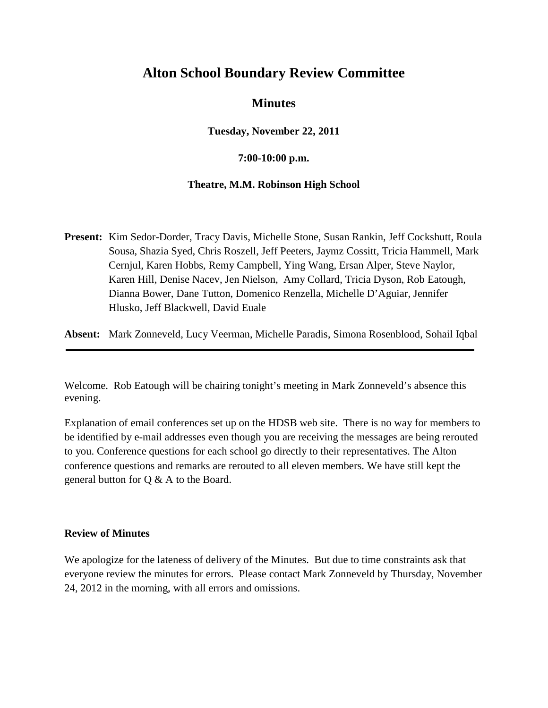# **Alton School Boundary Review Committee**

# **Minutes**

**Tuesday, November 22, 2011**

### **7:00-10:00 p.m.**

#### **Theatre, M.M. Robinson High School**

**Present:** Kim Sedor-Dorder, Tracy Davis, Michelle Stone, Susan Rankin, Jeff Cockshutt, Roula Sousa, Shazia Syed, Chris Roszell, Jeff Peeters, Jaymz Cossitt, Tricia Hammell, Mark Cernjul, Karen Hobbs, Remy Campbell, Ying Wang, Ersan Alper, Steve Naylor, Karen Hill, Denise Nacev, Jen Nielson, Amy Collard, Tricia Dyson, Rob Eatough, Dianna Bower, Dane Tutton, Domenico Renzella, Michelle D'Aguiar, Jennifer Hlusko, Jeff Blackwell, David Euale

**Absent:** Mark Zonneveld, Lucy Veerman, Michelle Paradis, Simona Rosenblood, Sohail Iqbal

Welcome. Rob Eatough will be chairing tonight's meeting in Mark Zonneveld's absence this evening.

Explanation of email conferences set up on the HDSB web site. There is no way for members to be identified by e-mail addresses even though you are receiving the messages are being rerouted to you. Conference questions for each school go directly to their representatives. The Alton conference questions and remarks are rerouted to all eleven members. We have still kept the general button for Q & A to the Board.

#### **Review of Minutes**

We apologize for the lateness of delivery of the Minutes. But due to time constraints ask that everyone review the minutes for errors. Please contact Mark Zonneveld by Thursday, November 24, 2012 in the morning, with all errors and omissions.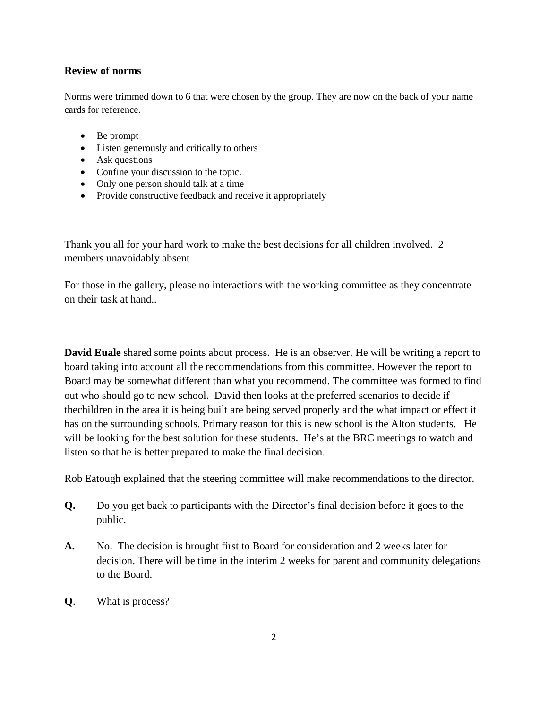#### **Review of norms**

Norms were trimmed down to 6 that were chosen by the group. They are now on the back of your name cards for reference.

- Be prompt
- Listen generously and critically to others
- Ask questions
- Confine your discussion to the topic.
- Only one person should talk at a time
- Provide constructive feedback and receive it appropriately

Thank you all for your hard work to make the best decisions for all children involved. 2 members unavoidably absent

For those in the gallery, please no interactions with the working committee as they concentrate on their task at hand..

**David Euale** shared some points about process. He is an observer. He will be writing a report to board taking into account all the recommendations from this committee. However the report to Board may be somewhat different than what you recommend. The committee was formed to find out who should go to new school. David then looks at the preferred scenarios to decide if thechildren in the area it is being built are being served properly and the what impact or effect it has on the surrounding schools. Primary reason for this is new school is the Alton students. He will be looking for the best solution for these students. He's at the BRC meetings to watch and listen so that he is better prepared to make the final decision.

Rob Eatough explained that the steering committee will make recommendations to the director.

- **Q.** Do you get back to participants with the Director's final decision before it goes to the public.
- **A.** No. The decision is brought first to Board for consideration and 2 weeks later for decision. There will be time in the interim 2 weeks for parent and community delegations to the Board.
- **Q**. What is process?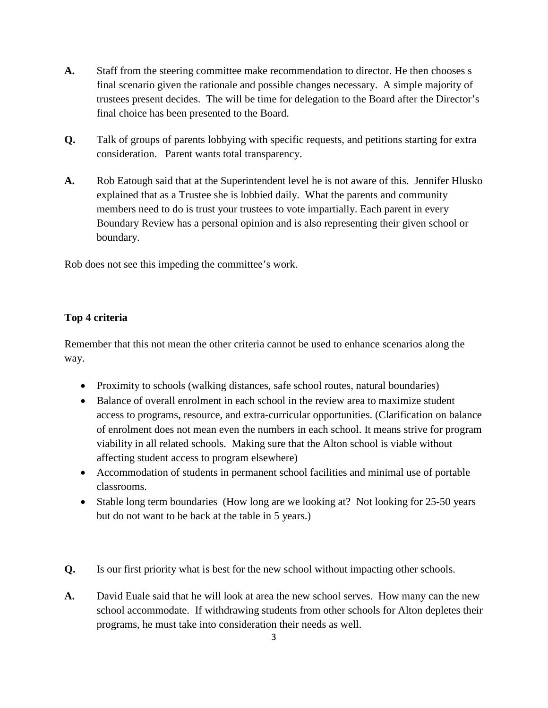- **A.** Staff from the steering committee make recommendation to director. He then chooses s final scenario given the rationale and possible changes necessary. A simple majority of trustees present decides. The will be time for delegation to the Board after the Director's final choice has been presented to the Board.
- **Q.** Talk of groups of parents lobbying with specific requests, and petitions starting for extra consideration. Parent wants total transparency.
- **A.** Rob Eatough said that at the Superintendent level he is not aware of this. Jennifer Hlusko explained that as a Trustee she is lobbied daily. What the parents and community members need to do is trust your trustees to vote impartially. Each parent in every Boundary Review has a personal opinion and is also representing their given school or boundary.

Rob does not see this impeding the committee's work.

## **Top 4 criteria**

Remember that this not mean the other criteria cannot be used to enhance scenarios along the way.

- Proximity to schools (walking distances, safe school routes, natural boundaries)
- Balance of overall enrolment in each school in the review area to maximize student access to programs, resource, and extra-curricular opportunities. (Clarification on balance of enrolment does not mean even the numbers in each school. It means strive for program viability in all related schools. Making sure that the Alton school is viable without affecting student access to program elsewhere)
- Accommodation of students in permanent school facilities and minimal use of portable classrooms.
- Stable long term boundaries (How long are we looking at? Not looking for 25-50 years but do not want to be back at the table in 5 years.)
- **Q.** Is our first priority what is best for the new school without impacting other schools.
- **A.** David Euale said that he will look at area the new school serves. How many can the new school accommodate. If withdrawing students from other schools for Alton depletes their programs, he must take into consideration their needs as well.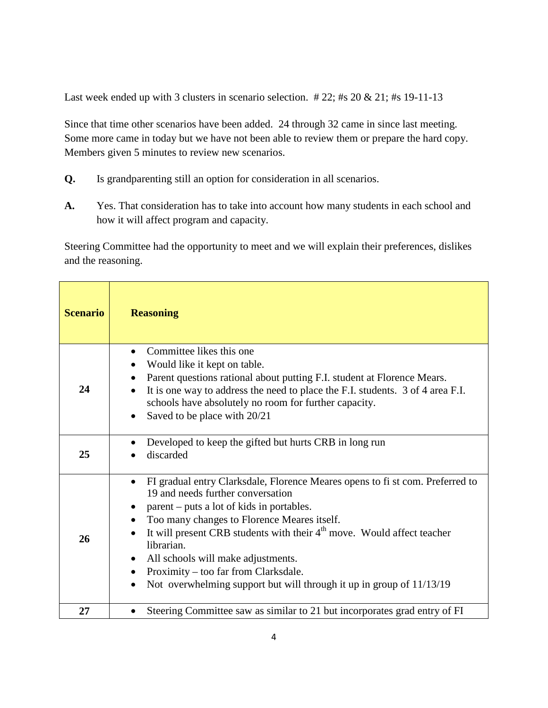Last week ended up with 3 clusters in scenario selection. #22; #s 20 & 21; #s 19-11-13

Since that time other scenarios have been added. 24 through 32 came in since last meeting. Some more came in today but we have not been able to review them or prepare the hard copy. Members given 5 minutes to review new scenarios.

- **Q.** Is grandparenting still an option for consideration in all scenarios.
- **A.** Yes. That consideration has to take into account how many students in each school and how it will affect program and capacity.

Steering Committee had the opportunity to meet and we will explain their preferences, dislikes and the reasoning.

| <b>Scenario</b> | <b>Reasoning</b>                                                                                                                                                                                                                                                                                                                                                                                                                                                                                                                  |
|-----------------|-----------------------------------------------------------------------------------------------------------------------------------------------------------------------------------------------------------------------------------------------------------------------------------------------------------------------------------------------------------------------------------------------------------------------------------------------------------------------------------------------------------------------------------|
| 24              | Committee likes this one<br>Would like it kept on table.<br>Parent questions rational about putting F.I. student at Florence Mears.<br>$\bullet$<br>It is one way to address the need to place the F.I. students. 3 of 4 area F.I.<br>$\bullet$<br>schools have absolutely no room for further capacity.<br>Saved to be place with 20/21<br>$\bullet$                                                                                                                                                                             |
| 25              | Developed to keep the gifted but hurts CRB in long run<br>discarded                                                                                                                                                                                                                                                                                                                                                                                                                                                               |
| 26              | FI gradual entry Clarksdale, Florence Meares opens to fi st com. Preferred to<br>$\bullet$<br>19 and needs further conversation<br>parent – puts a lot of kids in portables.<br>Too many changes to Florence Meares itself.<br>$\bullet$<br>It will present CRB students with their 4 <sup>th</sup> move. Would affect teacher<br>librarian.<br>All schools will make adjustments.<br>٠<br>Proximity – too far from Clarksdale.<br>$\bullet$<br>Not overwhelming support but will through it up in group of 11/13/19<br>$\bullet$ |
| 27              | Steering Committee saw as similar to 21 but incorporates grad entry of FI                                                                                                                                                                                                                                                                                                                                                                                                                                                         |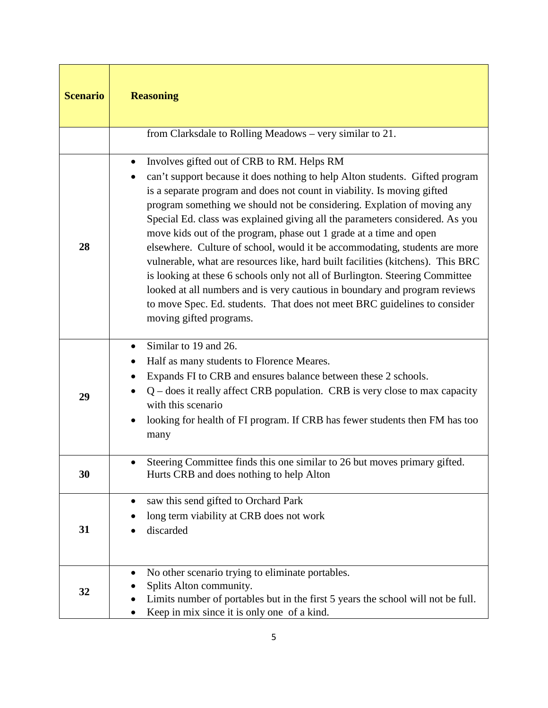| <b>Scenario</b> | <b>Reasoning</b>                                                                                                                                                                                                                                                                                                                                                                                                                                                                                                                                                                                                                                                                                                                                                                                                                                                                   |
|-----------------|------------------------------------------------------------------------------------------------------------------------------------------------------------------------------------------------------------------------------------------------------------------------------------------------------------------------------------------------------------------------------------------------------------------------------------------------------------------------------------------------------------------------------------------------------------------------------------------------------------------------------------------------------------------------------------------------------------------------------------------------------------------------------------------------------------------------------------------------------------------------------------|
|                 | from Clarksdale to Rolling Meadows - very similar to 21.                                                                                                                                                                                                                                                                                                                                                                                                                                                                                                                                                                                                                                                                                                                                                                                                                           |
| 28              | Involves gifted out of CRB to RM. Helps RM<br>٠<br>can't support because it does nothing to help Alton students. Gifted program<br>is a separate program and does not count in viability. Is moving gifted<br>program something we should not be considering. Explation of moving any<br>Special Ed. class was explained giving all the parameters considered. As you<br>move kids out of the program, phase out 1 grade at a time and open<br>elsewhere. Culture of school, would it be accommodating, students are more<br>vulnerable, what are resources like, hard built facilities (kitchens). This BRC<br>is looking at these 6 schools only not all of Burlington. Steering Committee<br>looked at all numbers and is very cautious in boundary and program reviews<br>to move Spec. Ed. students. That does not meet BRC guidelines to consider<br>moving gifted programs. |
| 29              | Similar to 19 and 26.<br>$\bullet$<br>Half as many students to Florence Meares.<br>Expands FI to CRB and ensures balance between these 2 schools.<br>$Q$ – does it really affect CRB population. CRB is very close to max capacity<br>with this scenario<br>looking for health of FI program. If CRB has fewer students then FM has too<br>many                                                                                                                                                                                                                                                                                                                                                                                                                                                                                                                                    |
| 30              | Steering Committee finds this one similar to 26 but moves primary gifted.<br>Hurts CRB and does nothing to help Alton                                                                                                                                                                                                                                                                                                                                                                                                                                                                                                                                                                                                                                                                                                                                                              |
| 31              | saw this send gifted to Orchard Park<br>long term viability at CRB does not work<br>discarded                                                                                                                                                                                                                                                                                                                                                                                                                                                                                                                                                                                                                                                                                                                                                                                      |
| 32              | No other scenario trying to eliminate portables.<br>Splits Alton community.<br>Limits number of portables but in the first 5 years the school will not be full.<br>Keep in mix since it is only one of a kind.                                                                                                                                                                                                                                                                                                                                                                                                                                                                                                                                                                                                                                                                     |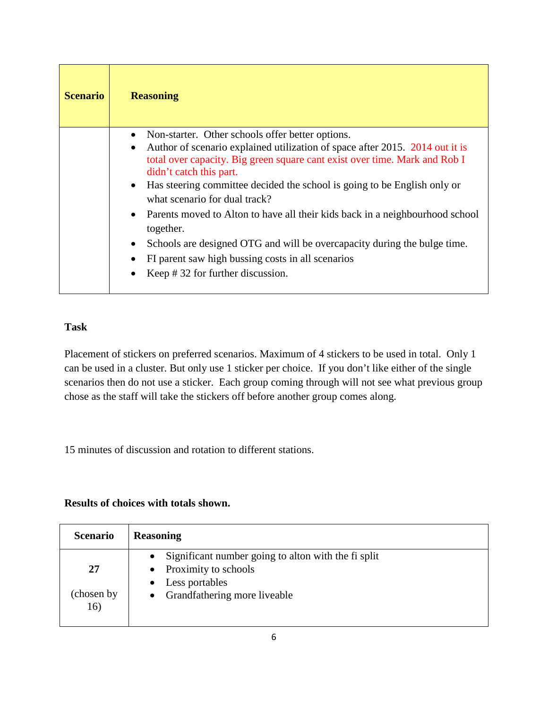| <b>Scenario</b> | <b>Reasoning</b>                                                                                                                                                                                                                                                                                                                                                                                                                                                                                                                                                                                                                          |
|-----------------|-------------------------------------------------------------------------------------------------------------------------------------------------------------------------------------------------------------------------------------------------------------------------------------------------------------------------------------------------------------------------------------------------------------------------------------------------------------------------------------------------------------------------------------------------------------------------------------------------------------------------------------------|
|                 | Non-starter. Other schools offer better options.<br>Author of scenario explained utilization of space after 2015. 2014 out it is<br>total over capacity. Big green square cant exist over time. Mark and Rob I<br>didn't catch this part.<br>Has steering committee decided the school is going to be English only or<br>what scenario for dual track?<br>Parents moved to Alton to have all their kids back in a neighbourhood school<br>together.<br>Schools are designed OTG and will be overcapacity during the bulge time.<br>$\bullet$<br>FI parent saw high bussing costs in all scenarios<br>Keep $\#$ 32 for further discussion. |

# **Task**

Placement of stickers on preferred scenarios. Maximum of 4 stickers to be used in total. Only 1 can be used in a cluster. But only use 1 sticker per choice. If you don't like either of the single scenarios then do not use a sticker. Each group coming through will not see what previous group chose as the staff will take the stickers off before another group comes along.

15 minutes of discussion and rotation to different stations.

## **Results of choices with totals shown.**

| <b>Scenario</b>   | <b>Reasoning</b>                                                                           |
|-------------------|--------------------------------------------------------------------------------------------|
| 27                | Significant number going to alton with the fi split<br>$\bullet$<br>• Proximity to schools |
| (chosen by<br>16) | Less portables<br>• Grandfathering more liveable                                           |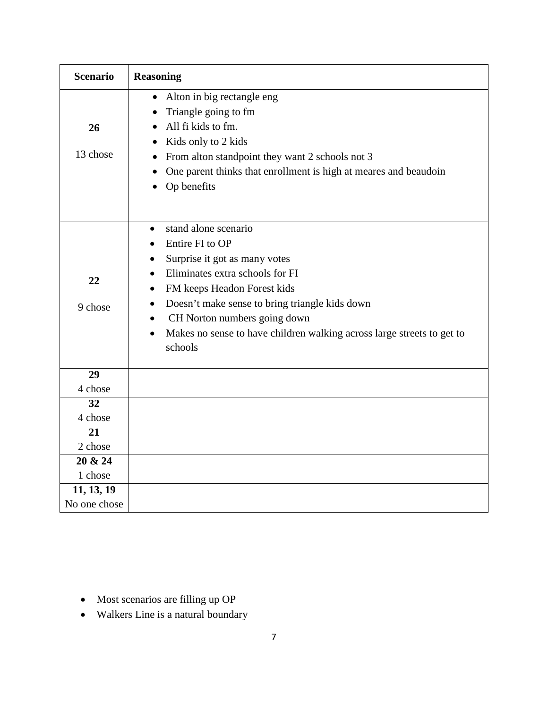| <b>Scenario</b>                           | <b>Reasoning</b>                                                                                                                                                                                                                                                                                                                            |
|-------------------------------------------|---------------------------------------------------------------------------------------------------------------------------------------------------------------------------------------------------------------------------------------------------------------------------------------------------------------------------------------------|
| 26<br>13 chose                            | Alton in big rectangle eng<br>$\bullet$<br>Triangle going to fm<br>All fi kids to fm.<br>Kids only to 2 kids<br>From alton standpoint they want 2 schools not 3<br>One parent thinks that enrollment is high at meares and beaudoin<br>Op benefits                                                                                          |
| 22<br>9 chose                             | stand alone scenario<br>$\bullet$<br>Entire FI to OP<br>Surprise it got as many votes<br>Eliminates extra schools for FI<br>FM keeps Headon Forest kids<br>$\bullet$<br>Doesn't make sense to bring triangle kids down<br>CH Norton numbers going down<br>Makes no sense to have children walking across large streets to get to<br>schools |
| 29<br>4 chose                             |                                                                                                                                                                                                                                                                                                                                             |
| 32<br>4 chose<br>21<br>2 chose<br>20 & 24 |                                                                                                                                                                                                                                                                                                                                             |
| 1 chose<br>11, 13, 19<br>No one chose     |                                                                                                                                                                                                                                                                                                                                             |

- Most scenarios are filling up OP
- Walkers Line is a natural boundary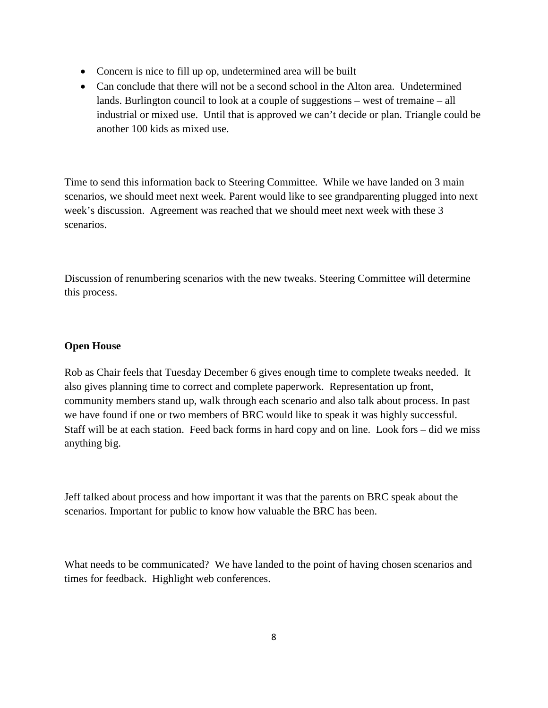- Concern is nice to fill up op, undetermined area will be built
- Can conclude that there will not be a second school in the Alton area. Undetermined lands. Burlington council to look at a couple of suggestions – west of tremaine – all industrial or mixed use. Until that is approved we can't decide or plan. Triangle could be another 100 kids as mixed use.

Time to send this information back to Steering Committee. While we have landed on 3 main scenarios, we should meet next week. Parent would like to see grandparenting plugged into next week's discussion. Agreement was reached that we should meet next week with these 3 scenarios.

Discussion of renumbering scenarios with the new tweaks. Steering Committee will determine this process.

#### **Open House**

Rob as Chair feels that Tuesday December 6 gives enough time to complete tweaks needed. It also gives planning time to correct and complete paperwork. Representation up front, community members stand up, walk through each scenario and also talk about process. In past we have found if one or two members of BRC would like to speak it was highly successful. Staff will be at each station. Feed back forms in hard copy and on line. Look fors – did we miss anything big.

Jeff talked about process and how important it was that the parents on BRC speak about the scenarios. Important for public to know how valuable the BRC has been.

What needs to be communicated? We have landed to the point of having chosen scenarios and times for feedback. Highlight web conferences.